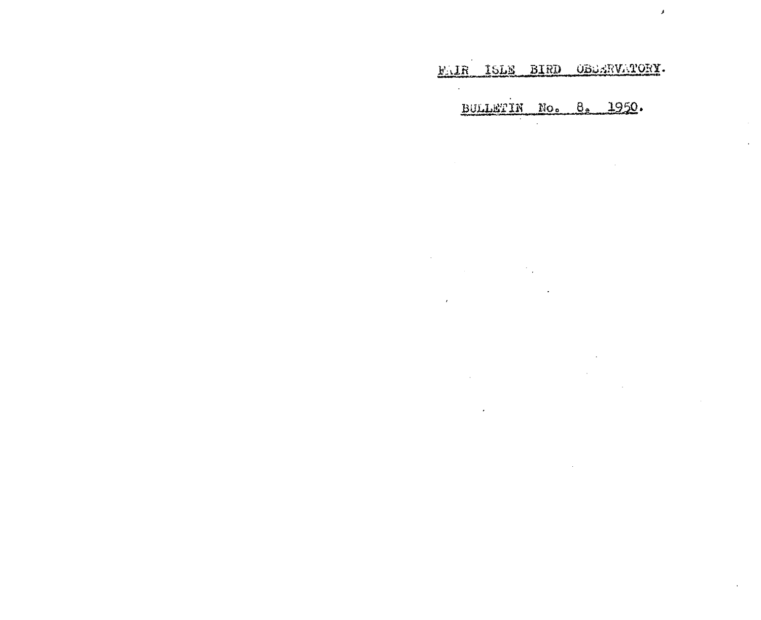FAIR ISLE BIRD OBBERVATORY.

 $\lambda$ 

BULLETIN No. 8. 1950.

 $\label{eq:2.1} \mathcal{L}_{\mathcal{A}}(\mathcal{A}) = \mathcal{L}_{\mathcal{A}}(\mathcal{A}) = \mathcal{L}_{\mathcal{A}}(\mathcal{A})$ 

 $\epsilon$ 

 $\alpha$ 

 $\mathcal{L}$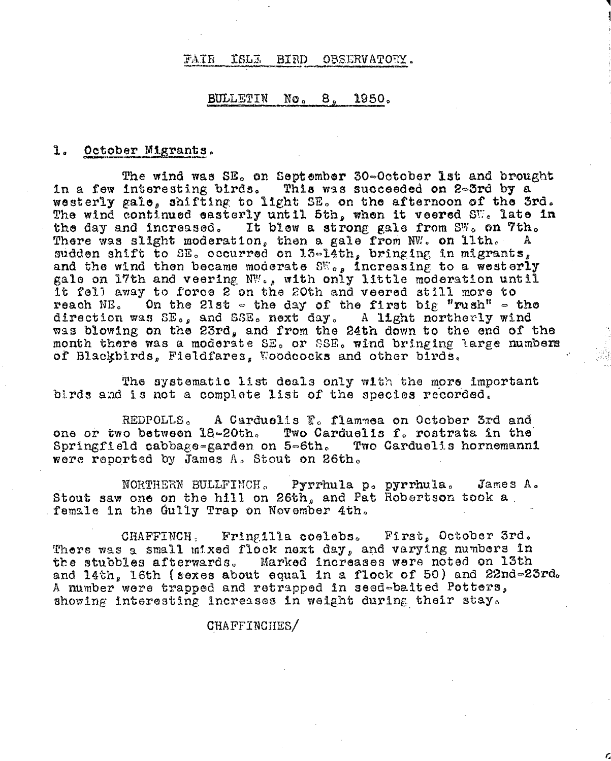#### FAIR **ISLE** BIRD OBSERVATORY.

### BULLETIN No. 8. 1950.

# 1. October Migrants.

The wind was SE, on September 30-October 1st and brought in a few interesting birds. This was succeeded on 2-3rd by a westerly gale, shifting to light SE. on the afternoon of the 3rd. The wind continued easterly until 5th, when it veered  $S_{\mathbb{U}}$ . late in It blew a strong gale from SW. on 7th. the day and increased. There was slight moderation, then a gale from NW. on lith. A sudden shift to SE. occurred on 13-14th, bringing in migrants, and the wind then became moderate SW., increasing to a westerly gale on 17th and veering NW., with only little moderation until it fell away to force 2 on the 20th and veered still more to On the 21st  $\sim$  the day of the first big "rush"  $\sim$  the reach NE. direction was  $SE_{o,p}$  and  $SSE_o$  next day, A light northerly wind<br>was blowing on the 23rd, and from the 24th down to the end of the month there was a moderate SE. or SSE. wind bringing large numbers of Blackbirds, Fieldfares, Woodcocks and other birds.

The systematic list deals only with the more important birds and is not a complete list of the species recorded.

REDPOLLS. A Carduelis  $\mathbb{F}_{\alpha}$  flammea on October 3rd and one or two between 18-20th. Two Carduelis f. rostrata in the Springfield cabbage=garden on 5-6th. Two Carduelis hornemanni were reported by James A. Stout on 26th.

Pyrrhula p. pyrrhula. NORTHERN BULLFINCH.  $JamesA<sub>o</sub>$ Stout saw one on the hill on 26th, and Pat Robertson took a female in the Gully Trap on November 4th.

Fring111a coelebs. First, October 3rd. CHAFFINCH, There was a small mixed flock next day, and varying numbers in the stubbles afterwards. Marked increases were noted on 13th and 14th, 16th (sexes about equal in a flock of 50) and 22nd=23rd. A number were trapped and retrapped in seed-baited Potters, showing interesting increases in weight during their stay.

CHAFFINCHES/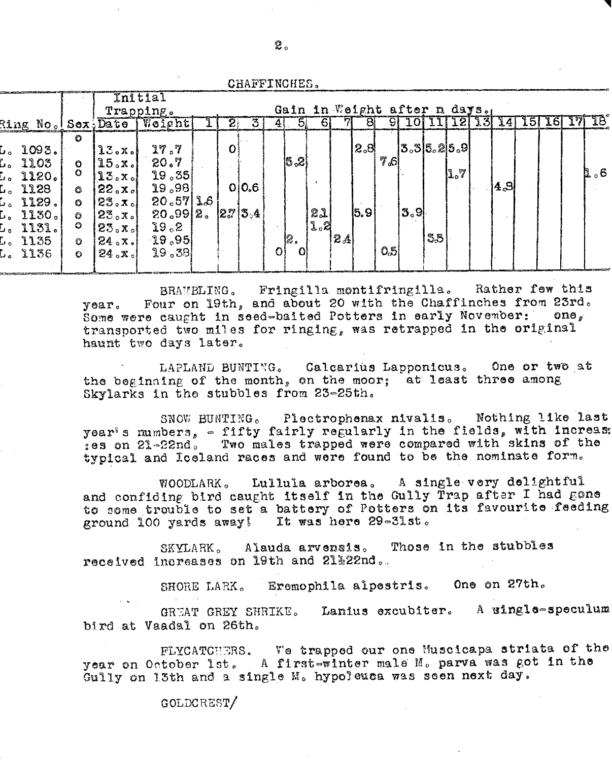CHAFFINCHES.

 $2^{\circ}$ 

|                                                                                                                            |                                                                           | Initial<br>Trapping.                                                                                                    |                                                                                                |                |                              |    |                 |           | Gain in Weight after n days. |                                    |           |                      |    |     |      |                     |           |     |
|----------------------------------------------------------------------------------------------------------------------------|---------------------------------------------------------------------------|-------------------------------------------------------------------------------------------------------------------------|------------------------------------------------------------------------------------------------|----------------|------------------------------|----|-----------------|-----------|------------------------------|------------------------------------|-----------|----------------------|----|-----|------|---------------------|-----------|-----|
| Ring No. Sex, Date                                                                                                         |                                                                           |                                                                                                                         | Weight                                                                                         | $\overline{2}$ | 3                            |    | 5.              | 61        |                              |                                    |           |                      |    |     |      | $\lfloor 5 \rfloor$ | <b>16</b> | -16 |
| 1093.<br>L.,<br>L. 1103<br>[. 1120.<br>L. 1128<br>$\tt L$ . 1129.<br>$\sim$ 1130.<br>L. 1131.<br>$\tt L_o$ 1135<br>L. 1136 | O<br>$\bullet$<br>$\circ$<br>$\circ$<br>O<br>$\circ$<br>$\circ$<br>O<br>O | 13.5<br>15. x.<br>$13. x_0!$<br>$22$ <sub>o</sub> $x$ <sub>o</sub> $\vert$<br>23.7c<br>23.7<br>23. x<br> 24.5x <br>24.8 | 77.7<br>20.7<br>19,35<br>29,98<br>$20.57$ $3.6$<br>20.992.<br>$3^{\circ}$ 61<br>19,95<br>19,38 | O              | O/O <sub>5</sub><br> 2.7 3.4 | O) | 5,2<br>12.<br>Λ | 21<br>1,2 | $ \mathcal{2}_A $            | $ 8^{\circ}\!\!\mathrm{S} $<br>5.9 | 7s<br>0.5 | 3,3 5,2 5,9 <br> 3.9 | 55 | 1.7 | 4, 3 |                     |           | r 6 |
|                                                                                                                            |                                                                           |                                                                                                                         |                                                                                                |                |                              |    |                 |           |                              |                                    |           |                      |    |     |      |                     |           |     |

BRAMBLING. Fringilla montifringilla. Rather few this Four on 19th, and about 20 with the Chaffinches from 23rd.  $\gamma$ ear. Some were caught in seed-baited Potters in early November: one, transported two miles for ringing, was retrapped in the original haunt two days later.

LAPLAND BUNTING. Calcarius Lapponicus. One or two at the beginning of the month, on the moor; at least three among Skylarks in the stubbles from 23-25th.

SNOW BUNTING. Plectrophenax nivalis. Nothing like last year's numbers, - fifty fairly regularly in the fields, with increas: ses on 21-22nd. Two males trapped were compared with skins of the typical and Iceland races and were found to be the nominate form.

Lullula arborea. A single very delightful WOODLARK. and confiding bird caught itself in the Gully Trap after I had gone to some trouble to set a battery of Potters on its favourite feeding ground 100 yards away! It was here 29-31st.

Those in the stubbles SKYLARK. Alauda arvensis. received increases on 19th and 21%22nd.

> Eremophila alpestris. One on 27th. SHORE LARK.

GREAT GREY SHRIKE. Lanius excubiter. A wingle-speculum bird at Vaadal on 26th.

FLYCATCHERS. We trapped our one Muscicapa striata of the year on October 1st. A first-winter male M. parva was got in the Gully on 13th and a single M. hypoleuca was seen next day.

GOLDCREST/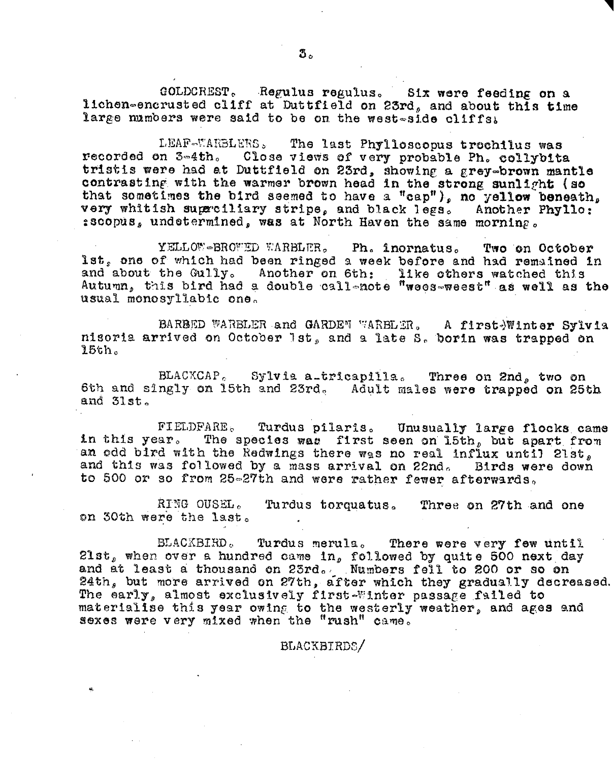GOLDCREST. Regulus regulus. Six were feeding on a lichen-encrusted cliff at Duttfield on 23rd, and about this time large mambers were said to be on the west-side cliffs.

LEAF-WARBLERS. The last Phylloscopus trechilus was Close views of very probable Ph. collybita recorded on 3-4th. tristis were had at Duttfield on 23rd, showing a grey-brown mantle contrasting with the warmer brown head in the strong sunlight (so that sometimes the bird seemed to have a "cap"), no yellow beneath, very whitish superciliary stripe, and black legs. Another Phyllo: sscopus, undetermined, was at North Haven the same morning.

YELLOW-BROWED WARBLER. Ph. inornatus. Two on October lst, one of which had been ringed a week before and had remained in and about the Gully. Another on 6th: like others watched this Autumn, this bird had a double callenote "wees-weest" as well as the usual monosyllabic one.

BARBED WARBLER and GARDEN WARBLER. A first-Winter Sylvia nisoria arrived on October 1st, and a late S. borin was trapped on 15th.

BLACKCAP. Sylvia a-tricapilla. Three on 2nd, two on 6th and singly on 15th and 23rd. Adult males were trapped on 25th and 31st.

FIELDFARE. Turdus pilaris. Unusually large flocks came The species was first seen on 15th, but apart from in this year. an odd bird with the Redwings there was no real influx until 2lst, and this was followed by a mass arrival on 22nd. Birds were down to 500 or so from 25-27th and were rather fewer afterwards.

Turdus torquatus. RING OUSEL. Three on 27th and one on 30th were the last.

Turdus merula. There were very few until BLACKBIRD. 21st, when over a hundred came in, followed by quite 500 next day<br>and at least a thousand on 23rd. Numbers fell to 200 or so on<br>24th, but more arrived on 27th, after which they gradually decreased. The early, almost exclusively first-Winter passage failed to materialise this year owing to the westerly weather, and ages and sexes were very mixed when the "rush" came.

BLACKBIRDS/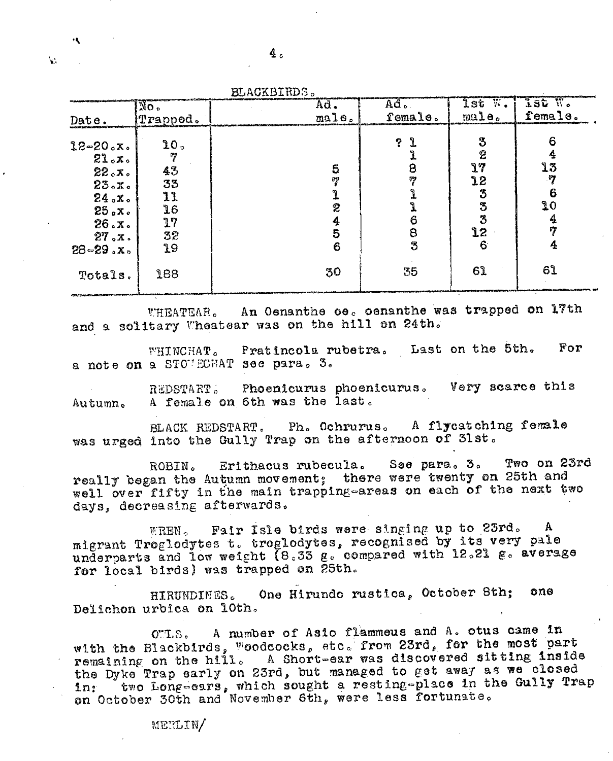| No.<br>Prapped.<br>Date.                                                                                                                                                                | Ad.<br>male.      | $Ad$ .<br>female.                       | lst W.<br>$m$ ale.                                                   | lat W.<br>female.                    |
|-----------------------------------------------------------------------------------------------------------------------------------------------------------------------------------------|-------------------|-----------------------------------------|----------------------------------------------------------------------|--------------------------------------|
| 20 <sub>2</sub><br>$12 - 20. x.$<br>VJ<br>21. x.<br>43<br>22.7.<br>33<br>23. x.<br>11<br>24.5x<br>16<br>25. x.<br>17<br>26. x.<br>32<br>27. x.<br>19<br>$28 - 29. x.$<br>188<br>Totals. | 5<br>2<br>6<br>30 | ີງ<br>?<br>8<br>59<br>6<br>8<br>3<br>35 | 3<br>$\hat{z}$<br>$\mathbf{1}$<br>12<br>3<br>3<br>3<br>12<br>6<br>61 | 13<br>97<br>6<br>20<br>17<br>4<br>61 |

WHEATEAR. An Oenanthe oe. oenanthe was trapped on 17th and a solitary Wheatear was on the hill on 24th.

Pratincola rubetra. Last on the 5th. For WHINCHAT. a note on a STOVECHAT see para. 3.

Phoenicurus phoenicurus. Very scarce this REDSTART. A female on 6th was the last. Autumn.

A flycatching female BLACK REDSTART. Ph. Ochrurus. was urged into the Gully Trap on the afternoon of 3lst.

Two on 23rd See para. 3. Erithacus rubecula. ROBIN. really began the Autumn movement; there were twenty on 25th and well over fifty in the main trapping-areas on each of the next two days, decreasing afterwards.

Fair Isle birds were singing up to 23rd. A  $\rm{WREN}$   $\sim$ migrant Troglodytes t. troglodytes, recognised by its very pale underparts and low weight (8.33 g. compared with 12.21 g. average for local birds) was trapped on 25th.

One Hirundo rustica, October 8th; ono **HIRUNDIMES.** Delichon urbica on 10th.

OTLS. A number of Asio flammeus and A. otus came in with the Blackbirds, Woodcocks, etc. from 23rd, for the most part remaining on the hill. A Short-ear was discovered sitting inside the Dyke Trap early on 23rd, but managed to get away as we closed two Long-ears, which sought a resting-place in the Gully Trap in: on October 30th and November 6th, were less fortunate.

e.

MERLIN/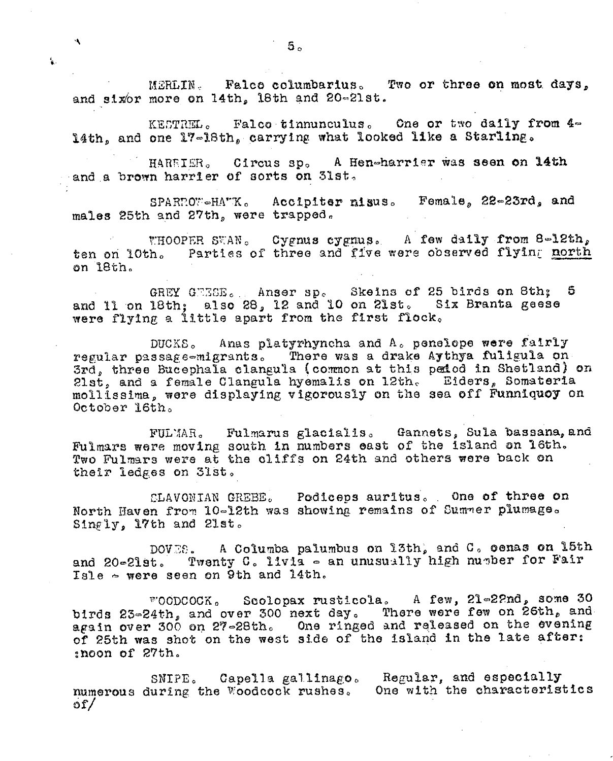MERLIN Falco columbarius. Two or three on most days, and sixor more on 14th, 18th and 20-21st.

KESTREL. Falco tinnunculus. One or two daily from 4-14th, and one 17-18th, carrying what looked like a Starling.

Circus sp. A Hen-harrier was seen on 14th HAREIER. and a brown harrier of sorts on 31st.

SPARROW-HATK. Accipiter nisus. Female, 22-23rd, and males 25th and 27th, were trapped.

Cygnus cygnus. A few daily from 8-12th, WHOOPER SWAN. ten on 10th. Parties of three and five were observed flying north on 18th.

GREY GEESE. Anser sp. Skeins of 25 birds on 8th; 5 and 11 on 18th; also 28, 12 and 10 on 21st. Six Branta geese were flying a little apart from the first flock.

DUCKS. Anas platyrhyncha and A. penelope were fairly regular passage-migrants. There was a drake Aythya fuligula on 3rd, three Bucephala clangula (common at this pedod in Shetland) on 21st, and a female Clangula hyemalis on 12th. Eiders, Somateria mollissima, were displaying vigorously on the sea off Funniquoy on October 16th.

FULMAR. Fulmarus glacialis. Gannets, Sula bassana, and Fulmars were moving south in numbers east of the island on 16th. Two Fulmars were at the cliffs on 24th and others were back on their ledges on 31st.

CLAVONIAN GREBE. Podiceps auritus. One of three on North Haven from 10-12th was showing remains of Summer plumage. Singly, 17th and 21st.

A Columba palumbus on 13th, and C. cenas on 15th DOVES. Twenty C. livia - an unusually high number for Fair and  $20 - 21$ st. Isle  $\sim$  were seen on 9th and 14th.

woodcock. Seolopax rusticola. A few, 21-22nd, some 30 birds 23-24th, and over 300 next day. There were few on 26th, and again over 300 on 27-28th. One ringed and released on the evening of 25th was shot on the west side of the island in the late after: :noon of 27th.

SNIPE. Capella gallinago. Regular, and especially numerous during the Woodcock rushes. One with the characteristics ຽ $\mathcal{L}$ 

 $\mathbf{A}$ 

٤.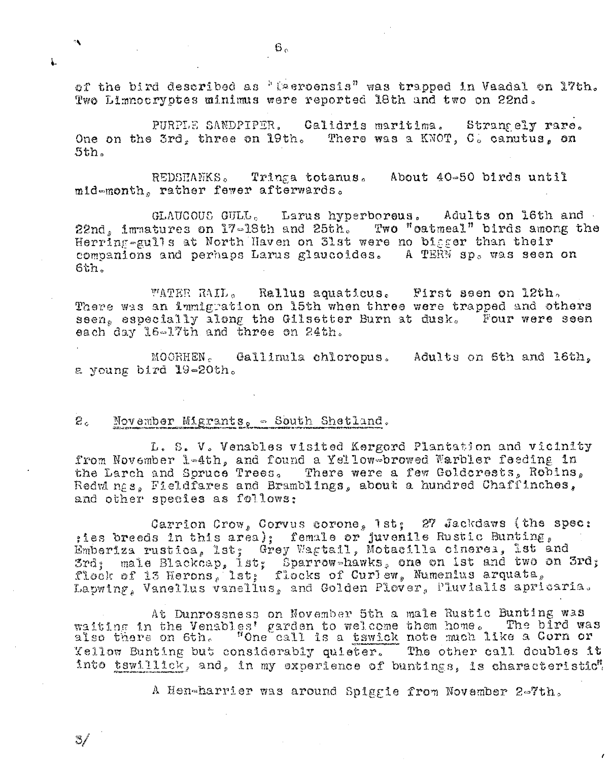of the bird described as "Eseroensis" was trapped in Vaadal on 17th. Two Limnocryptes minimus were reported 18th and two on 22nd.

PURPLE SANDPIPER. Calidris maritima. Strangely rare. One on the 3rd, three on 19th. There was a KNOT, C. canutus, on  $5th.$ 

About 40-50 birds until REDSHANKS. Tringa totanus. mid-month, rather fewer afterwards.

GLAUGOUS GULL. Larus hyperboreus. Adults on 16th and 22nd, immatures on 17-18th and 25th. Two "oatmeal" birds among the Herring-gulls at North Haven on 31st were no bigger than their companions and perhaps Larus glaucoides. A TERN sp. was seen on  $6th.$ 

WATER RAIL. Rallus aquaticus. First seen on 12th. There was an immigration on 15th when three were trapped and others seen, especially along the Gilsetter Burn at dusk. Four were seen each day 16-17th and three on 24th.

MOORHEN. Gallimila chloropus. Adults on 5th and 16th. a young bird 19-20th.

#### $\mathcal{Z}_{\mathsf{c}}$ November Migrants,  $\sim$  South Shetland.

L. S. V. Venables visited Kergord Plantation and vicinity from November 1-4th, and found a Yellow-browed Warbler feeding in the Larch and Soruce Trees. There were a few Goldcrests, Robins, Redwings, Fieldfares and Bramblings, about a hundred Chaffinches, and other species as follows:

Carrion Crow, Corvus corone, 1st; 27 Jackdaws (the spec:<br>tes breeds in this area); female or juvenile Rustic Bunting,<br>Emberiza rustica, lst; Grey Wagtail, Motacilla cinerea, lst and 3rd; male Blackcap, 1st; Sparrow-hawks, one on ist and two on 3rd;<br>flock of 13 Herons, lst; flocks of Curlew, Numenius arquata, Lapwing, Vanellus vanelius, and Golden Plover, Pluvialis apricaria.

At Dunrossness on November 5th a male Rustic Bunting was waiting in the Venables' garden to welcome them home. The bird was<br>also there on 6th. "One call is a tswick note much like a Gorn or Yellow Bunting but considerably quieter. The other call doubles it into tswillick, and, in my experience of buntings, is characteristic".

A Hen-harrier was around Spiggie from November 2-7th.

L

٩.

37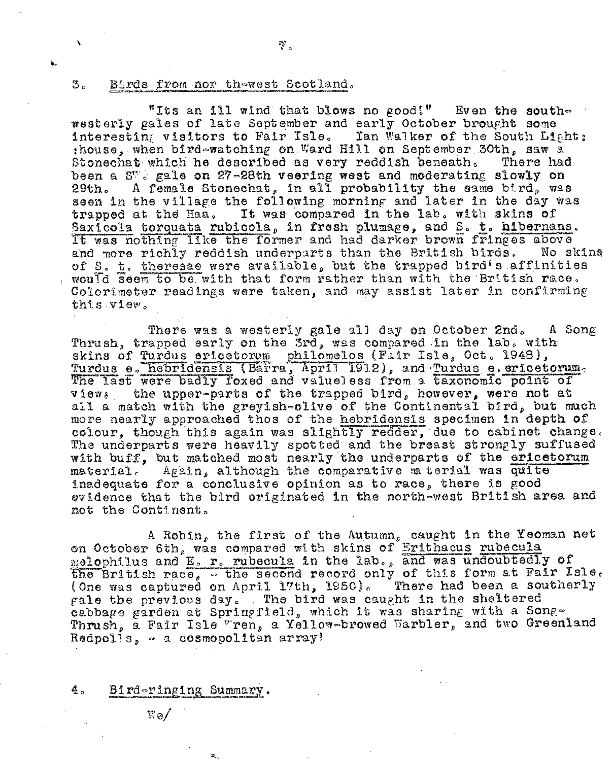### さ。 Birds from nor thewest Scotland.

 $\mathbb{Y}$  .

"Its an ill wind that blows no good!" Even the southwesterly gales of late September and early October brought some interesting visitors to Fair Isle. Ian Walker of the South Light: :house, when bird-watching on Ward Hill on September 30th. saw a Stonechat which he described as very reddish beneath. There had been a S<sup>w</sup>e gale on 27-28th veering west and moderating slowly on A female Stonechat, in all probability the same bird, was  $29th.$ seen in the village the following morning and later in the day was trapped at the Haa. It was compared in the lab. with skins of Saxicola torquata rubicola, in fresh plumage, and S. t. hibernans. It was nothing like the former and had darker brown fringes above and more richly reddish underparts than the British birds. No skins of S. t. theresae were available, but the trapped bird's affinities would seem to be with that form rather than with the British race. Colorimeter readings were taken, and may assist later in confirming this view.

There was a westerly gale all day on October 2nd. A Song Thrush, trapped early on the 3rd, was compared in the lab. with skins of Turdus ericetorum philomelos (Fair Isle, Oct. 1948), Turdus e. hebridensis (Barra, April 1912), and Turdus e. ericetorum. The last were badly foxed and valueless from a taxonomic point of the upper-parts of the trapped bird, however, were not at views all a match with the greyish-clive of the Continental bird, but much more nearly approached thos of the hebridensis specimen in depth of colour, though this again was slightly redder, due to cabinet change. The underparts were heavily spotted and the breast strongly suffused with buff. but matched most nearly the underparts of the ericetorum material. Again, although the comparative m terial was quite inadequate for a conclusive opinion as to race, there is good evidence that the bird originated in the north-west British area and not the Continent.

A Robin, the first of the Autumn, caught in the Yeoman net on October 6th, was compared with skins of Erithacus rubecula the British race,  $\overline{ }$  the second record only of this form at Fair Isle.<br>(One was captured on April 17th, 1950). There had been a southerly gale the previous day. The bird was caught in the sheltered cabbage garden at Springfield, which it was sharing with a Song-Thrush, a Fair Isle Wren, a Yellow-browed Warbler, and two Greenland Redpolls,  $\circ$  a cosmopolitan array!

#### 4. Bird-ringing Summary.

久.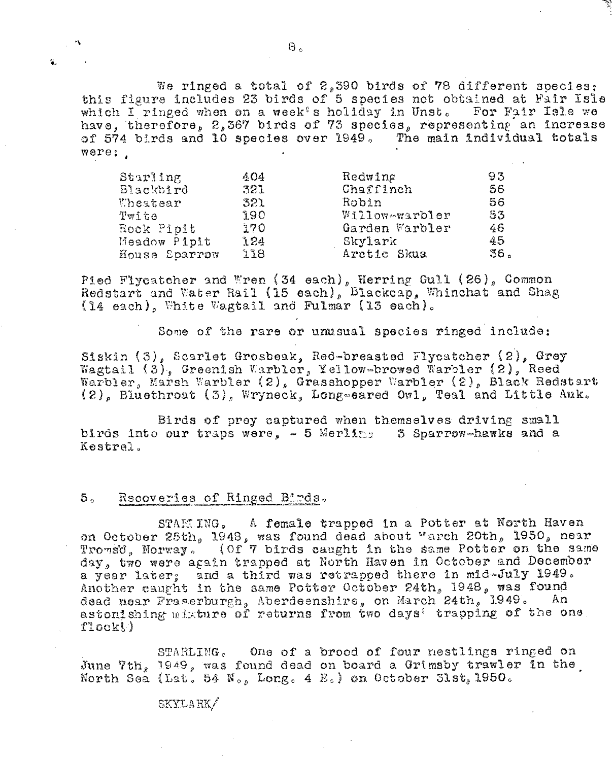We ringed a total of 2,390 birds of 78 different species: this figure includes 23 birds of 5 species not obtained at Fair Isle which I ringed when on a week's holiday in Unst. For Fair Isle we have, therefore, 2,367 birds of 73 species, representing an increase of 574 birds and 10 species over 1949. The main individual totals were:

| Starling      | 404 | Redwing        | 93  |
|---------------|-----|----------------|-----|
| Blackbird     | 321 | Chaffinch      | 56  |
| Uheatear      | 321 | Robin          | 56  |
| Twite         | ាទល | Willowewarbler | 53  |
| Rock Pipit    | 370 | Garden Warbler | 46  |
| Meadow Pipit  | 124 | Skylark        | 45  |
| House Sparrow | 118 | Arctic Skua    | 36. |

Pied Flycatcher and Wren (34 each), Herring Gull (26), Common Redstart and Water Rail (15 each), Blackcap, Whinchat and Shag (14 each), White Wagtail and Fulmar (13 each).

Some of the rare or unusual species ringed include:

Siskin (3), Scarlet Grosbeak, Red-breasted Flycatcher (2), Grey Wagtail  $(3)$ , Greenish Warbler, Yellow-browed Warbler  $(2)$ , Reed Warbler, Marsh Warbler (2), Grasshopper Warbler (2), Black Redstart (2), Bluethroat (3), Wryneck, Long-eared Owl, Teal and Little Auk.

Birds of prey captured when themselves driving small birds into our traps were,  $\approx$  5 Merling 3 Sparrow-hawks and a Kestrel.

#### Rscoveries of Ringed Birds.  $5^{\circ}$

 $\mathbf{r}_\mathrm{in}$ 

STARUNG. A female trapped in a Potter at North Haven on October 25th, 1948, was found dead about "arch 20th, 1950, near<br>Trowsd, Norway. (Of 7 birds caught in the same Potter on the same day, two were again trapped at North Haven in October and December a year later; and a third was retrapped there in mid-July 1949. Another caught in the same Potter October 24th, 1948, was found dead near Fraserburgh, Aberdeenshire, on March 24th, 1949. An astonishing misture of returns from two days' trapping of the one flock!)

STARLING. One of a brood of four nestlings ringed on June 7th, 1949, was found dead on board a Grimsby trawler in the North Sea (Lat. 54 N., Long. 4 E.) on October 31st, 1950.

# SKYLARK/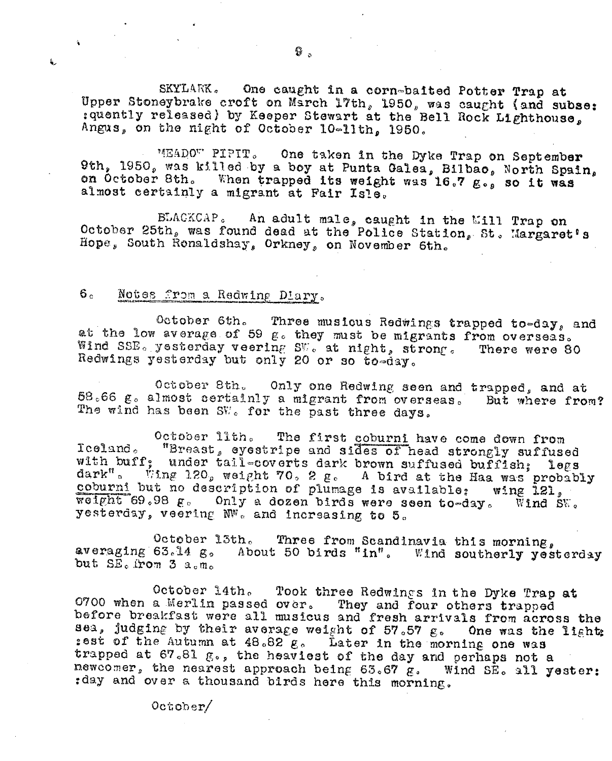SKYLARK. One caught in a corn-baited Potter Trap at Upper Stoneybrake croft on March 17th, 1950, was caught (and subse: : quently released) by Keeper Stewart at the Bell Rock Lighthouse, Angus, on the night of October 10-11th, 1950.

MEADOW PIPIT. One taken in the Dyke Trap on September 9th, 1950, was killed by a boy at Punta Galea, Bilbao, North Spain, on October 8th. When trapped its weight was 16.7 g., so it was almost certainly a migrant at Fair Isle.

BLACKCAP. An adult male, caught in the Mill Trap on October 25th, was found dead at the Police Station, St. Margaret's Hope, South Ronaldshay, Orkney, on November 6th.

## Notes from a Redwing Diary.  $6<sub>c</sub>$

 $\ddot{\bullet}$ 

Ŀ,

October 6th. Three musicus Redwings trapped to-day, and at the low average of 59 g. they must be migrants from overseas. Wind SSE. yesterday veering SW. at night, strong. There were 80 Redwings yesterday but only 20 or so to-day.

Only one Redwing seen and trapped, and at October 8th. 58.66 g. almost certainly a migrant from overseas. But where from? The wind has been SW. for the past three days.

October lith. The first coburni have come down from "Breast, eyestripe and sides of head strongly suffused  $I$ celand. with buff; under tail=coverts dark brown suffused bufflsh; legs dark". Wing 120, weight 70, 2 g. A bird at the Haa was probably coburni but no description of plumage is available: wing 121, weight 69.98 g. Only a dozen birds were seen to-day. Wind SW. yesterday, veering NW. and increasing to 5.

October 13th. Three from Scandinavia this morning, averaging 63.14 g. About 50 birds "in". Wind southerly yesterday but SE. from 3 a.m.

October 14th. Took three Redwings in the Dyke Trap at 0700 when a Merlin passed over. They and four others trapped before breakfast were all musicus and fresh arrivals from across the sea, judging by their average weight of 57.57 g. One was the light: sest of the Autumn at 48.82 g. Later in the morning one was trapped at 67.81 g., the heaviest of the day and perhaps not a newcomer, the nearest approach being 63.67 g. Wind SE. all yester: : day and over a thousand birds here this morning.

 $0$ ctober $/$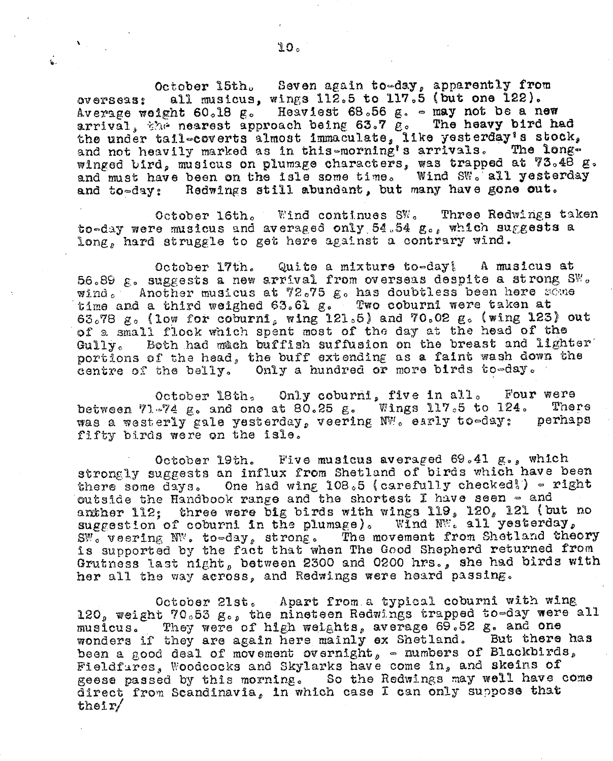$\mathbf{v}$ 

Ġ.

Seven again to-day, apparently from October 15th. all musicus, wings 112.5 to 117.5 (but one 122).  $0$  $V$  $0$  $Y$  $S$  $0$  $9$  $3$  $3$  $2$ Average weight 60.18 g. Heaviest 68.56 g. - may not be a new arrival, the nearest approach being 63.7 g. The heavy bird had the under tail-coverts almost immaculate, like yesterday's stock, and not heavily marked as in this-morning's arrivals. The longwinged bird, musicus on plumage characters, was trapped at 73.48 g. and must have been on the isle some time. Wind SW. all yesterday and to-day: Redwings still abundant, but many have gone out.

October 16th. Wind continues SW. Three Redwings taken to-day were musicus and averaged only 54.54 g., which suggests a long, hard struggle to get here against a contrary wind.

Quite a mixture to-day! A musicus at October 17th. 56.89  $\epsilon$ . suggests a new arrival from overseas despite a strong SW. wind. Another musicus at 72.75 g. has doubtless been here some time and a third weighed 63.61 g. Two coburnl were taken at 63.78 g. (low for coburni, wing 121.5) and 70.02 g. (wing 123) out of a small flock which spent most of the day at the head of the Both had much buffish suffusion on the breast and lighter  $Gully_c$ portions of the head, the buff extending as a faint wash down the centre of the belly. Only a hundred or more birds to-day.

October 18th, Only coburni, five in all. Four were between 71-74 g. and one at 80.25 g. Wings 117.5 to 124. There was a westerly gale yesterday, veering NW. early to-day: perhaps fifty birds were on the isle.

October 19th. Five musicus averaged 69.41 g., which strongly suggests an influx from Shetland of birds which have been there some days. One had wing 108.5 (carefully checked!) - right outside the Handbook range and the shortest I have seen - and anther 112; three were big birds with wings 119, 120, 121 (but no suggestion of coburni in the plumage). Wind  $N^{m}$ , all yesterday, SW. veering NW. to-day, strong. The movement from Shetland theory is supported by the fact that when The Good Shepherd returned from Grutness last night, between 2300 and 0200 hrs., she had birds with her all the way across, and Redwings were heard passing.

October 21st. Apart from a typical coburni with wing 120, weight 70.53 g., the nineteen Redwings trapped to-day were all musicus. They were of high weights, average 69.52 g. and one wonders if they are again here mainly ex Shetland. But there has been a good deal of movement overnight, - numbers of Blackbirds, Fieldfares, Woodcocks and Skylarks have come in, and skeins of geese passed by this morning. So the Redwings may well have come direct from Scandinavia, in which case I can only suppose that  $th$ eir $/$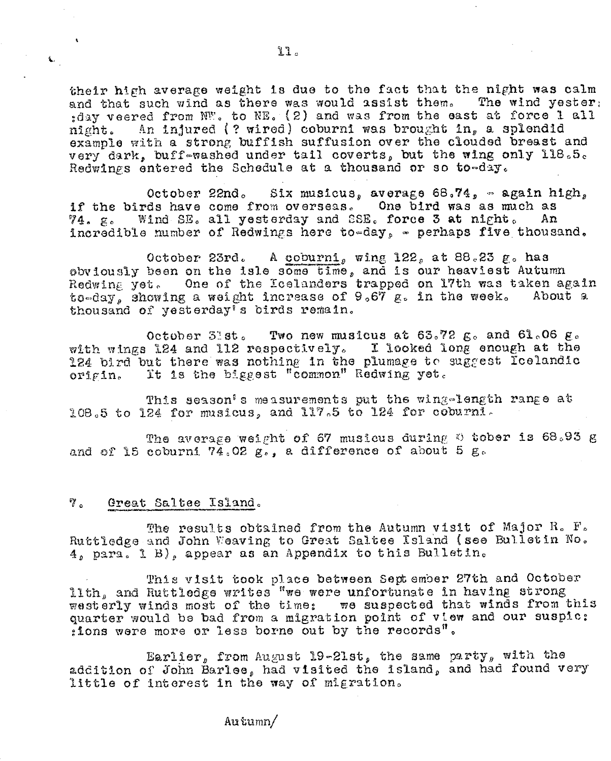their high average weight is due to the fact that the night was calm and that such wind as there was would assist them. The wind yester, :day veered from NW. to NE. (2) and was from the east at force 1 all An injured (? wired) coburni was brought in, a splendid night. example with a strong buffish suffusion over the clouded breast and very dark, buff-washed under tail coverts, but the wing only 118.5. Redwings entered the Schedule at a thousand or so to-day.

Six musicus, average 68.74, - again high, October 22nd. if the birds have come from overseas. One bird was as much as Wind SE. all yesterday and SSE. force 3 at night. 74. g. Αn incredible number of Redwings here to-day, - perhaps five thousand.

A coburni, wing 122, at 88.23 g. has October 23rd. obviously been on the isle some time, and is our heaviest Autumn Redwing yet. One of the Loelanders trapped on 17th was taken again to-day, showing a weight increase of 9.67 g. in the week. About a thousand of yesterday's birds remain.

October 51st. Two new musicus at  $63.72$   $g_0$  and  $61.06$   $g_0$ with wings 124 and 112 respectively. I looked long enough at the 124 bird but there was nothing in the plumage to suggest Icelandic It is the biggest "common" Redwing yet. orisin.

This season's measurements put the wing-length range at 108.5 to 124 for musicus, and 117.5 to 124 for coburni.

The average weight of 67 musicus during 0 tober is 68.93 g and of 15 coburni  $74.02\ \mu$ , a difference of about 5 g.

#### ້" . Great Saltee Island.

 $\mathbf{C}_1$ 

The results obtained from the Autumn visit of Major R. F. Ruttledge and John Weaving to Great Saltee Island (see Bulletin No. 4, para. 1 B), appear as an Appendix to this Bulletin.

This visit took place between September 27th and October lith, and Ruttledge writes "we were unfortunate in having strong westerly winds most of the time: we suspected that winds from this quarter would be bad from a migration point of view and our suspic: : ions were more or less borne out by the records".

Earlier, from August 19-21st, the same party, with the addition of John Barlee, had visited the island, and had found very little of interest in the way of migration.

Autumn/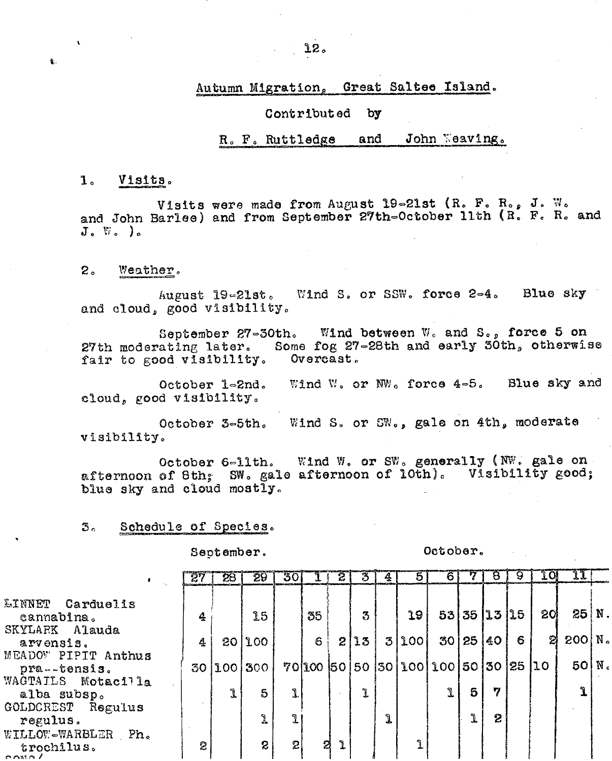Autumn Migration, Great Saltee Island.

#### Contributed  $by$

#### John Weaving. and R. F. Ruttledge

#### $\mathbf{1}$ Visits.

 $\mathbf{r}$ 

 $\mathbf{L}$ 

Visits were made from August 19-21st (R. F. R., J. W. and John Barlee) and from September 27th=October 11th (R. F. R. and  $J_{o}$   $\nabla_{o}$  ).

### $2<sub>o</sub>$ Weather.

Blue sky Wind S. or SSW. force 2=4. August 19-21st. and cloud, good visibility.

September 27-30th. Wind between W. and S., force 5 on Some fog 27-28th and early 30th, otherwise 27th moderating later. Overcast. fair to good visibility.

Wind W. or NW. force  $4-5$ . Blue sky and October 1-2nd. cloud, good visibility.

Wind S. or SW., gale on 4th, moderate October 3-5th. visibility.

Wind W. or SW. generally (NW. gale on October 6-11th. afternoon of 8th; SW. gale afternoon of lOth). Visibility good; blue sky and cloud mostly.

## Schedule of Species. З.,

September.

October.

|                                          | 27 | 28 | 29               | 30.            |            |   | 3    | Ą. | $\overline{5}$          | 6  |             | 8       | 9.     | 1 Oi            | $\mathfrak{u}$ |  |
|------------------------------------------|----|----|------------------|----------------|------------|---|------|----|-------------------------|----|-------------|---------|--------|-----------------|----------------|--|
| <b>EINNET</b><br>Carduelis<br>cannabina. | 4  |    | 15               |                | 35         |   | 3    |    | 19                      |    | 53 35 13 15 |         |        | 20 <sup>°</sup> | $25 N$ .       |  |
| SKYLARK Alauda<br>arvensis.              | 4  |    | 201100           |                | $\epsilon$ |   | 2 13 |    | 3 100                   | 30 |             | 25 40   | 6      | ଅ               | $200$ $N_c$    |  |
| MEADOW PIPIT Anthus<br>pra -- tensis.    | 30 |    | 100 300          |                |            |   |      |    | 70 100 50 50 50 100 100 |    |             | 50   30 | 25  10 |                 | 50 M           |  |
| WAGTAILS Motacilla<br>alba subsp.        |    | ı  | 5                | $\mathbf{L}$   |            |   | ۹.   |    |                         |    | 5           | 77      |        |                 |                |  |
| GOLDCREST Regulus<br>regulus.            |    |    | L                | J.             |            |   |      | ı  |                         |    | Ĵ.          | 2       |        |                 |                |  |
| WILLOW-WARBLER Ph.<br>trochilus.<br>max1 | 2  |    | $\boldsymbol{S}$ | 2 <sub>1</sub> |            | 2 |      |    |                         |    |             |         |        |                 |                |  |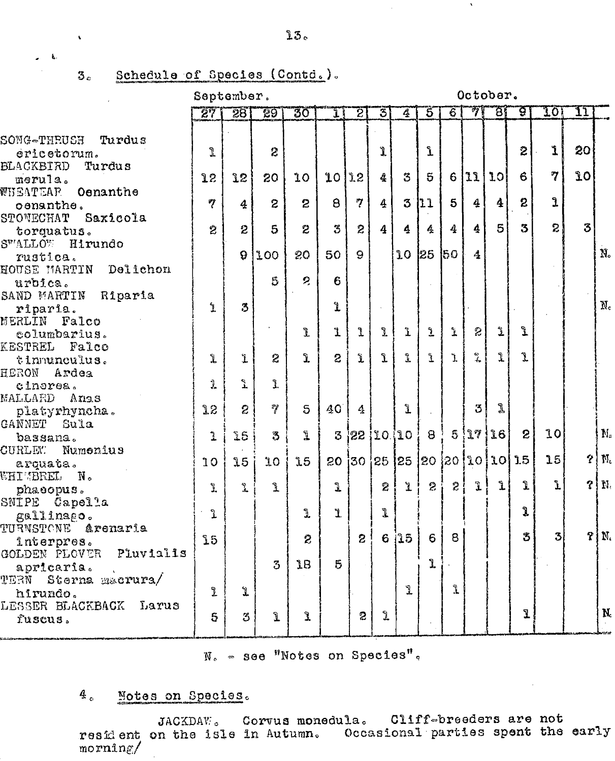## Schedule of Species (Contd.).  $3<sub>e</sub>$

 $\ddot{\phantom{0}}$ 

 $\overline{a}$ 

September.

October.

 $\mathbf{v}$ 

|                                       | 271                  | 281            | -29            | 30           | Ίł             | 21              | 3                 | $\overline{4}$       | $5^{\circ}$    | $\overline{6}$          | 71                 | 78 I            | ত্ত্ব           | TOI            | IJ        |                  |
|---------------------------------------|----------------------|----------------|----------------|--------------|----------------|-----------------|-------------------|----------------------|----------------|-------------------------|--------------------|-----------------|-----------------|----------------|-----------|------------------|
| <b>ECUHIT-ONOS</b><br>Turdus          |                      |                |                |              |                |                 |                   |                      |                |                         |                    |                 |                 |                |           |                  |
| ericetorum.                           | $\mathbb{R}$         |                | $\overline{c}$ |              |                |                 | 1                 |                      | Ĺ              |                         |                    |                 | 2               | $\mathbf{1}$   | 20        |                  |
| BLACKBIRD<br>Turdus                   |                      |                |                |              |                |                 |                   |                      |                |                         |                    |                 |                 |                |           |                  |
| merula.                               | 12                   | 12             | 20             | 10           | 10             | 22              | $\frac{1}{2}$     | 3                    | $5\phantom{1}$ | 6                       | 11                 | 10 <sup>1</sup> | 6               | $\mathcal{I}$  | <b>LO</b> |                  |
| WHEATEAR Oenanthe                     |                      |                |                |              |                |                 |                   |                      |                |                         |                    |                 |                 |                |           |                  |
| cenanthe.                             | $\boldsymbol{\eta}$  | 4              | $\overline{c}$ | $\mathbf{z}$ | $\theta$       | 7               | $\boldsymbol{4}$  | 3                    | $\mathbf{h}$   | $\overline{\mathbf{5}}$ | $\boldsymbol{4}$   | $\ddot{4}$      | $\mathbf{2}$    | $\mathbf{I}$   |           |                  |
| STONECHAT Saxicola                    |                      |                |                |              |                |                 |                   |                      |                |                         |                    |                 |                 |                |           |                  |
| torquatus.                            | 2                    | $\mathbf{2}$   | 5              | $\ddot{z}$   | 3              | $\mathbf{z}$    | $\overline{4}$    | 4                    | 4              | 4                       | 4                  | 5 <sup>1</sup>  | $3\overline{3}$ | $\overline{2}$ | 3         |                  |
| SWALLOW Hirundo                       |                      |                |                |              |                |                 |                   |                      |                |                         |                    |                 |                 |                |           |                  |
| rustica.                              |                      | 9              | 100            | 20           | 50             | 9 <sup>°</sup>  |                   | 10 <sup>°</sup>      | 25 50          |                         | $\frac{1}{2}$      |                 |                 |                |           | $\rm N_{\circ}$  |
| HOUSE MARTIN Delichon                 |                      |                |                |              |                |                 |                   |                      |                |                         |                    |                 |                 |                |           |                  |
| urbica.                               |                      |                | 5              | $\mathbf{c}$ | 6              |                 |                   |                      |                |                         |                    |                 |                 |                |           |                  |
| SAND MARTIN Riparia                   |                      |                |                |              |                |                 |                   |                      |                |                         |                    |                 |                 |                |           |                  |
| riparia.                              | $\mathbf{I}$         | 3              |                |              | L              |                 |                   |                      |                |                         |                    |                 |                 |                |           | $\rm\,M_{\odot}$ |
| MERLIN Falco                          |                      |                |                |              |                |                 |                   |                      |                |                         |                    |                 |                 |                |           |                  |
| columbarius.                          |                      |                |                | L            | ľ              | ı               | L                 | $\mathbf{\hat{L}}$   | $\mathbf{L}$   | Ĵ.                      | $\mathcal{D}$      | $\mathbf{T}$    | Ĺ               |                |           |                  |
| KESTREL Falco                         |                      |                |                |              |                |                 |                   |                      |                |                         |                    |                 |                 |                |           |                  |
| tinnunculus.                          | $\mathbf{I}$         | $\mathbf{L}$   | $\overline{2}$ | $\mathbf{r}$ | $\overline{c}$ | Ĵ.              | $\mathbf{r}$      | $\mathbf{R}$         | Ĺ              | Ï.                      | $\frac{\infty}{4}$ | Ĵ.              | Ĩ               |                |           |                  |
| HERON<br>Ardea                        |                      |                |                |              |                |                 |                   |                      |                |                         |                    |                 |                 |                |           |                  |
| cinerea.                              | $\mathbf{I}$         | Ĵ.             | Ĵ.             |              |                |                 |                   |                      |                |                         |                    |                 |                 |                |           |                  |
| MALLARD Anas                          |                      |                |                |              |                |                 |                   |                      |                |                         |                    | Ĵ,              |                 |                |           |                  |
| platyrhyncha.                         | 3.2                  | $\overline{c}$ | $\mathcal{P}$  | 5            | 40             | $\mathcal{L}_k$ |                   | $\mathbf{I}$         |                |                         | $3^{\circ}$        |                 |                 |                |           |                  |
| GANNET Sula                           |                      |                |                |              |                |                 |                   |                      | $\Theta$       |                         | 5!17!              | 16              | $\mathbf{S}$    | 10             |           | $\mathbb{N}_c$   |
| bassana.                              | $\mathbf{L}$         | 25             | 3              | L            | 3              |                 |                   | 22 10 10             |                |                         |                    |                 |                 |                |           |                  |
| CURLEY.<br>Numenius                   |                      |                |                |              | 20             |                 |                   | 30 25 25 20 20 10 10 |                |                         |                    |                 | 1.5             | 15             |           | $2 \mid M_c$     |
| arquata.                              | 10                   | 15             | 10             | 15           |                |                 |                   |                      |                |                         |                    |                 |                 |                |           |                  |
| <b>WHIMBREL N.</b>                    | Ĵ.                   | $\mathbb{R}$   | L              |              | J              |                 | $2^{\frac{1}{2}}$ | ユー                   | $\mathbf{S}$   | 2!                      | $\mathbf{L}$       | $\mathbf{r}$    | Î               | Ĺ              |           | 3   N.           |
| phaeopus.                             |                      |                |                |              |                |                 |                   |                      |                |                         |                    |                 |                 |                |           |                  |
| SNIPE Capella                         | $\frac{1}{\sqrt{2}}$ |                |                | 1            | Ľ.             |                 | J.                |                      |                |                         |                    |                 | Ĵ               |                |           |                  |
| gallinago.                            |                      |                |                |              |                |                 |                   |                      |                |                         |                    |                 |                 |                |           |                  |
| TURNSTONE Arenaria                    | 15                   |                |                | $\ddot{z}$   |                | $\overline{2}$  | $6\phantom{1}$    | i15                  | 6              | 8                       |                    |                 | 3               | $\overline{3}$ |           | $P\vert N.$      |
| înterpres.<br>GOLDEN PLOVER Pluvialis |                      |                |                |              |                |                 |                   |                      |                |                         |                    |                 |                 |                |           |                  |
|                                       |                      |                | 3              | 1B           | 5              |                 |                   |                      | Ĵ.             |                         |                    |                 |                 |                |           |                  |
| apricaria.<br>TERN<br>Sterna macrura/ |                      |                |                |              |                |                 |                   |                      |                |                         |                    |                 |                 |                |           |                  |
| hirundo.                              | L                    | $\mathbf{r}$   |                |              |                |                 |                   | $\mathbf{r}$         |                | Ĩ.                      |                    |                 |                 |                |           |                  |
| LESSER BLACKBACK<br>Larus             |                      |                |                |              |                |                 |                   |                      |                |                         |                    |                 |                 |                |           |                  |
| fuscus.                               | 5 <sub>1</sub>       | 3              | Ĺ              | Ĵ.           |                | $\overline{c}$  | ı                 |                      |                |                         |                    |                 | ı               |                |           | N.               |
|                                       |                      |                |                |              |                |                 |                   |                      |                |                         |                    |                 |                 |                |           |                  |

N. - see "Notes on Species".

## $4<sub>o</sub>$ Motes on Species.

JACKDAW. Corvus monedula. Cliff-breeders are not resident on the isle in Autumn. Occasional parties spent the early  $morn1n\epsilon/$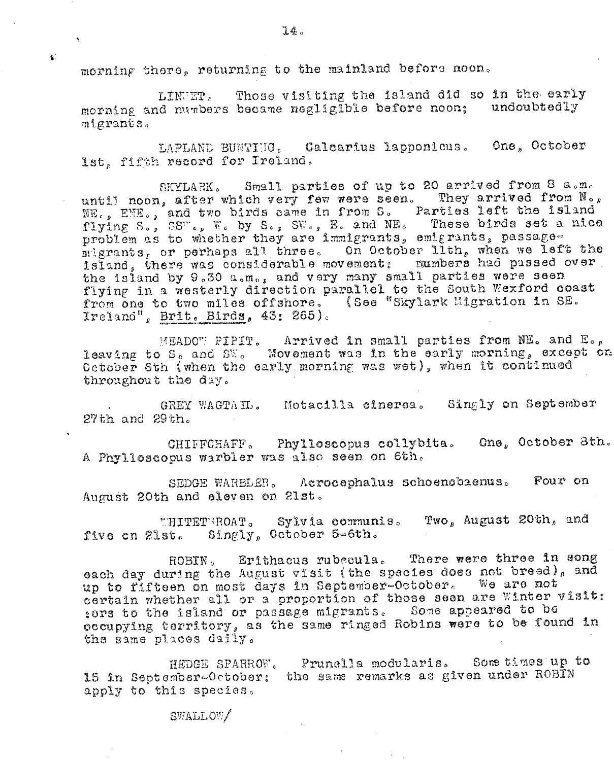morning there, returning to the mainland before noon.

£Ć.

Those visiting the island did so in the early LINGET. morning and manbers became negligible before noon; undoubtedly migrants.

LAPLAND BUNTING. Calcarius lapponicus. One, October lst, fifth record for Ireland.

SKYLARK. Small parties of up to 20 arrived from 8 a.m. until noon, after which very few were seen. They arrived from No, NE., ENE., and two birds came in from S. Parties left the island<br>flying S., SS"., W. by S., SW., E. and NE. These birds set a nice problem as to whether they are immigrants, emigrants, passagemigrants, or perhaps all three. On October lith, when we left the island, there was considerable movement; numbers had passed over the island by 9.30 a.m., and very many small parties were seen flying in a westerly direction parallel to the South Wexford coast from one to two miles offshore. (See "Skylark Migration in SE. Ireland", Brit. Birds, 43: 265).

MEADOW PIPIT. Arrived in small parties from NE. and E., leaving to S, and SW. Movement was in the early morning, except on October 6th (when the early morning was wet), when it continued throughout the day.

GREY WAGTAIL. Motacilla cinerea. Singly on September  $27th$  and  $29th.$ 

CHIFFCHAFF. Phylloscopus collybita. Cne, October 3th. A Phylloscopus warbler was also seen on 6th.

Acrocephalus schoenobaenus. Four on SEDGE WARBLER. August 20th and eleven on 21st.

Two, August 20th, and WHITETHROAT. Sylvia communis. five on 21st. Singly, October 5-6th.

Erithacus rubecula. There were three in song  $\mathtt{ROBIN}$  . each day during the August visit (the species does not breed), and up to fifteen on most days in September-October. We are not certain whether all or a proportion of those seen are Winter visit: sors to the island or passage migrants. Some appeared to be occupying territory, as the same ringed Robins were to be found in the same places daily.

Prunella modularis. Some times up to HEDGE SPARROW. 15 in September-October: the same remarks as given under ROBIN apply to this species.

SWALLOW/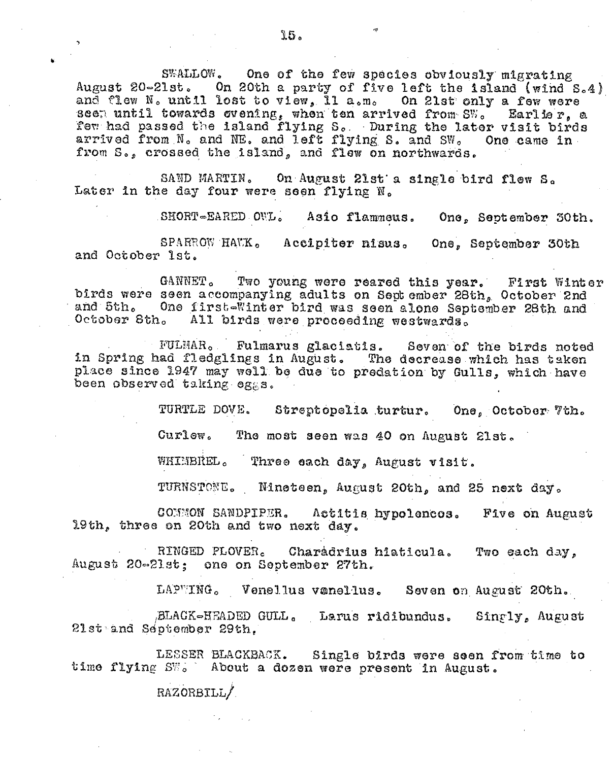SWALLOW. One of the few species obviously migrating August 20-21st. On 20th a party of five left the island (wind S.4) and flew N. until lost to view, 11 a.m. On 21st only a few were seen until towards evening, when ten arrived from SW. Earlier, a few had passed the island flying S. During the later visit birds arrived from N. and NE. and left flying S. and SW. One came in from S., crossed the island, and flew on northwards.

SAND MARTIN. On August 21st a single bird flew S. Later in the day four were seen flying N.

SHORT-EARED OWL. Asio flammeus. One, September 30th.

SPARROW HAVK. Accipiter nisus. One, September 30th and October 1st.

GANNET. Two young were reared this year. First Winter birds were seen accompanying adults on September 28th, October 2nd and 5th. One first-Winter bird was seen alone September 28th and October 8th. All birds were proceeding westwards.

FULMAR. Fulmarus glaciatis. Seven of the birds noted in Spring had fledglings in August. The decrease which has taken place since 1947 may well be due to predation by Gulls, which have been observed taking eggs.

TURTLE DOVE. Streptopelia turtur. One, October 7th.

Curlew. The most seen was 40 on August 21st.

WHIMBREL. Three each day, August visit.

TURNSTONE. Nineteen, August 20th, and 25 next day.

COMMON SANDPIPER. Actitis hypolencos. Five on August 19th, three on 20th and two next day.

RINGED PLOVER. Charadrius hiaticula. Two each day, August 20-21st: one on September 27th.

LAPWING. Venellus vanellus. Seven on August 20th.

BLACK-HEADED GULL. Larus ridibundus. Singly, August 21st and September 29th.

LESSER BLACKBACK. Single birds were seen from time to time flying SW. About a dozen were present in August.

RAZORBILL/